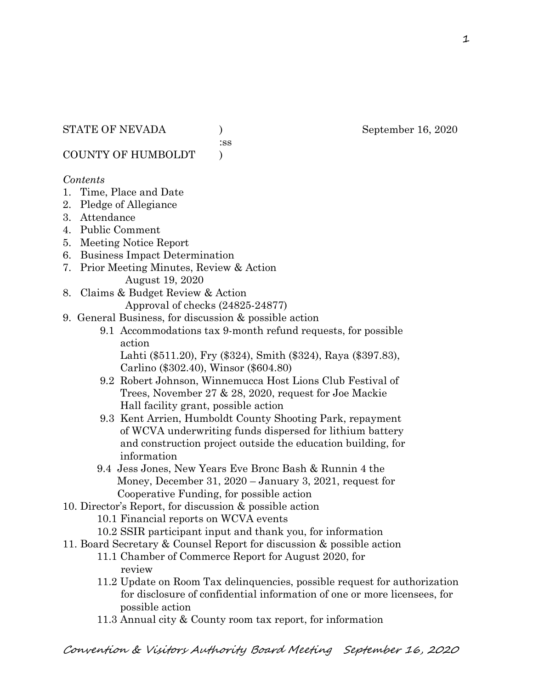:ss

COUNTY OF HUMBOLDT )

#### *Contents*

- 1. Time, Place and Date
- 2. Pledge of Allegiance
- 3. Attendance
- 4. Public Comment
- 5. Meeting Notice Report
- 6. Business Impact Determination
- 7. Prior Meeting Minutes, Review & Action August 19, 2020
- 8. Claims & Budget Review & Action

Approval of checks (24825-24877)

- 9. General Business, for discussion & possible action
	- 9.1 Accommodations tax 9-month refund requests, for possible action

 Lahti (\$511.20), Fry (\$324), Smith (\$324), Raya (\$397.83), Carlino (\$302.40), Winsor (\$604.80)

- 9.2 Robert Johnson, Winnemucca Host Lions Club Festival of Trees, November 27 & 28, 2020, request for Joe Mackie Hall facility grant, possible action
- 9.3 Kent Arrien, Humboldt County Shooting Park, repayment of WCVA underwriting funds dispersed for lithium battery and construction project outside the education building, for information
- 9.4 Jess Jones, New Years Eve Bronc Bash & Runnin 4 the Money, December 31, 2020 – January 3, 2021, request for Cooperative Funding, for possible action
- 10. Director's Report, for discussion & possible action
	- 10.1 Financial reports on WCVA events
	- 10.2 SSIR participant input and thank you, for information
- 11. Board Secretary & Counsel Report for discussion & possible action
	- 11.1 Chamber of Commerce Report for August 2020, for review
		- 11.2 Update on Room Tax delinquencies, possible request for authorization for disclosure of confidential information of one or more licensees, for possible action
		- 11.3 Annual city & County room tax report, for information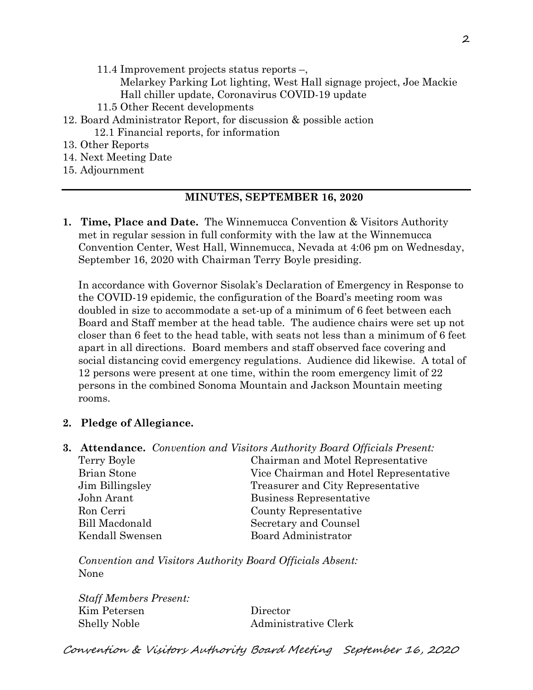- 11.4 Improvement projects status reports –,
	- Melarkey Parking Lot lighting, West Hall signage project, Joe Mackie Hall chiller update, Coronavirus COVID-19 update
- 11.5 Other Recent developments
- 12. Board Administrator Report, for discussion & possible action
	- 12.1 Financial reports, for information
- 13. Other Reports
- 14. Next Meeting Date
- 15. Adjournment

#### **MINUTES, SEPTEMBER 16, 2020**

**1. Time, Place and Date.** The Winnemucca Convention & Visitors Authority met in regular session in full conformity with the law at the Winnemucca Convention Center, West Hall, Winnemucca, Nevada at 4:06 pm on Wednesday, September 16, 2020 with Chairman Terry Boyle presiding.

In accordance with Governor Sisolak's Declaration of Emergency in Response to the COVID-19 epidemic, the configuration of the Board's meeting room was doubled in size to accommodate a set-up of a minimum of 6 feet between each Board and Staff member at the head table. The audience chairs were set up not closer than 6 feet to the head table, with seats not less than a minimum of 6 feet apart in all directions. Board members and staff observed face covering and social distancing covid emergency regulations. Audience did likewise. A total of 12 persons were present at one time, within the room emergency limit of 22 persons in the combined Sonoma Mountain and Jackson Mountain meeting rooms.

## **2. Pledge of Allegiance.**

**3. Attendance.** *Convention and Visitors Authority Board Officials Present:* Terry Boyle Chairman and Motel Representative Brian Stone Vice Chairman and Hotel Representative Jim Billingsley Treasurer and City Representative John Arant Business Representative Ron Cerri County Representative Bill Macdonald Secretary and Counsel Kendall Swensen Board Administrator

*Convention and Visitors Authority Board Officials Absent:* None

*Staff Members Present:* Kim Petersen Director Shelly Noble Administrative Clerk

Convention & Visitors Authority Board Meeting September 16, 2020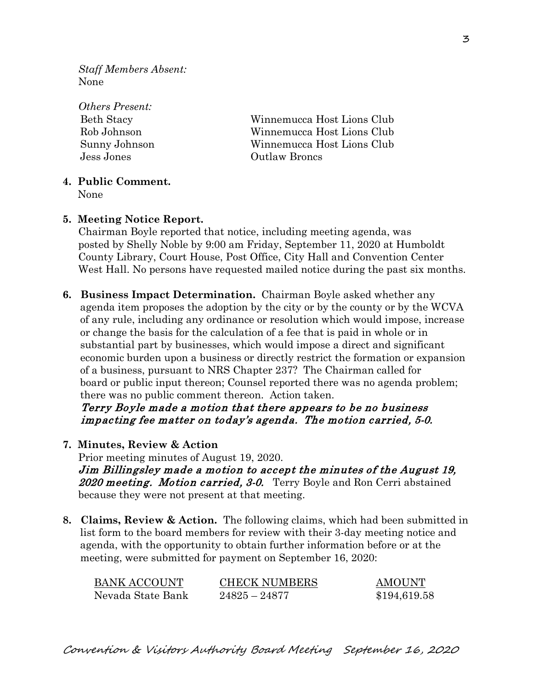*Staff Members Absent:* None

| <i><b>Others Present:</b></i> |                            |
|-------------------------------|----------------------------|
| <b>Beth Stacy</b>             | Winnemucca Host Lions Club |
| Rob Johnson                   | Winnemucca Host Lions Club |
| Sunny Johnson                 | Winnemucca Host Lions Club |
| Jess Jones                    | Outlaw Broncs              |
|                               |                            |

#### **4. Public Comment.**

None

#### **5. Meeting Notice Report.**

Chairman Boyle reported that notice, including meeting agenda, was posted by Shelly Noble by 9:00 am Friday, September 11, 2020 at Humboldt County Library, Court House, Post Office, City Hall and Convention Center West Hall. No persons have requested mailed notice during the past six months.

**6. Business Impact Determination.** Chairman Boyle asked whether any agenda item proposes the adoption by the city or by the county or by the WCVA of any rule, including any ordinance or resolution which would impose, increase or change the basis for the calculation of a fee that is paid in whole or in substantial part by businesses, which would impose a direct and significant economic burden upon a business or directly restrict the formation or expansion of a business, pursuant to NRS Chapter 237? The Chairman called for board or public input thereon; Counsel reported there was no agenda problem; there was no public comment thereon. Action taken.

 Terry Boyle made a motion that there appears to be no business impacting fee matter on today's agenda. The motion carried, 5-0.

**7. Minutes, Review & Action** 

Prior meeting minutes of August 19, 2020. Jim Billingsley made a motion to accept the minutes of the August 19, 2020 meeting. Motion carried, 3-0. Terry Boyle and Ron Cerri abstained because they were not present at that meeting.

**8. Claims, Review & Action.** The following claims, which had been submitted in list form to the board members for review with their 3-day meeting notice and agenda, with the opportunity to obtain further information before or at the meeting, were submitted for payment on September 16, 2020:

| BANK ACCOUNT      | <b>CHECK NUMBERS</b> | <b>AMOUNT</b> |
|-------------------|----------------------|---------------|
| Nevada State Bank | $24825 - 24877$      | \$194,619.58  |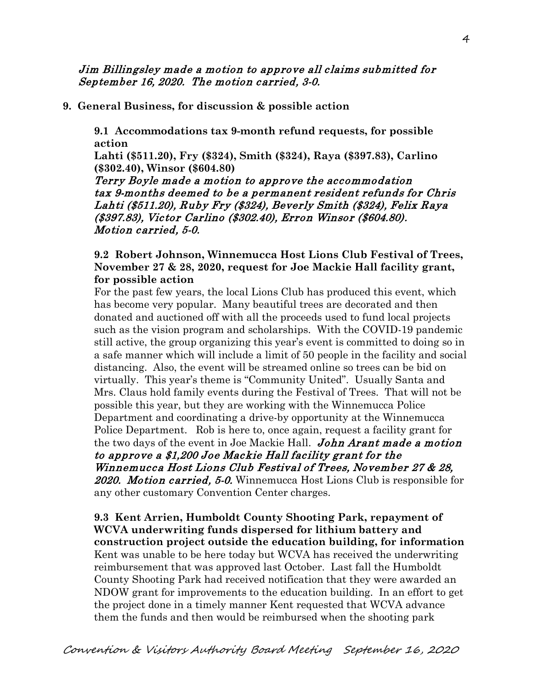Jim Billingsley made a motion to approve all claims submitted for September 16, 2020. The motion carried, 3-0.

**9. General Business, for discussion & possible action**

**9.1 Accommodations tax 9-month refund requests, for possible action**

**Lahti (\$511.20), Fry (\$324), Smith (\$324), Raya (\$397.83), Carlino (\$302.40), Winsor (\$604.80)**

Terry Boyle made a motion to approve the accommodation tax 9-months deemed to be a permanent resident refunds for Chris Lahti (\$511.20), Ruby Fry (\$324), Beverly Smith (\$324), Felix Raya (\$397.83), Victor Carlino (\$302.40), Erron Winsor (\$604.80). Motion carried, 5-0.

#### **9.2 Robert Johnson, Winnemucca Host Lions Club Festival of Trees, November 27 & 28, 2020, request for Joe Mackie Hall facility grant, for possible action**

For the past few years, the local Lions Club has produced this event, which has become very popular. Many beautiful trees are decorated and then donated and auctioned off with all the proceeds used to fund local projects such as the vision program and scholarships. With the COVID-19 pandemic still active, the group organizing this year's event is committed to doing so in a safe manner which will include a limit of 50 people in the facility and social distancing. Also, the event will be streamed online so trees can be bid on virtually. This year's theme is "Community United". Usually Santa and Mrs. Claus hold family events during the Festival of Trees. That will not be possible this year, but they are working with the Winnemucca Police Department and coordinating a drive-by opportunity at the Winnemucca Police Department. Rob is here to, once again, request a facility grant for the two days of the event in Joe Mackie Hall. John Arant made a motion to approve a \$1,200 Joe Mackie Hall facility grant for the Winnemucca Host Lions Club Festival of Trees, November 27 & 28, 2020. Motion carried, 5-0. Winnemucca Host Lions Club is responsible for any other customary Convention Center charges.

**9.3 Kent Arrien, Humboldt County Shooting Park, repayment of WCVA underwriting funds dispersed for lithium battery and construction project outside the education building, for information** Kent was unable to be here today but WCVA has received the underwriting reimbursement that was approved last October. Last fall the Humboldt County Shooting Park had received notification that they were awarded an NDOW grant for improvements to the education building. In an effort to get the project done in a timely manner Kent requested that WCVA advance them the funds and then would be reimbursed when the shooting park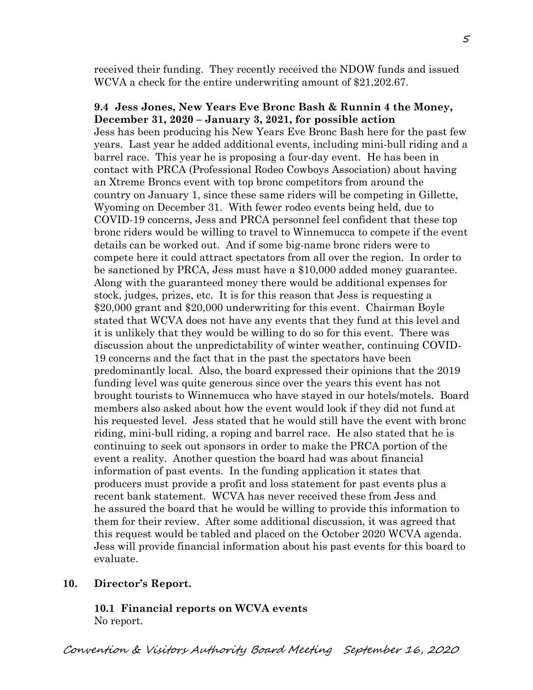received their funding. They recently received the NDOW funds and issued WCVA a check for the entire underwriting amount of \$21,202.67.

#### **9.4 Jess Jones, New Years Eve Bronc Bash & Runnin 4 the Money, December 31, 2020 – January 3, 2021, for possible action**

Jess has been producing his New Years Eve Bronc Bash here for the past few years. Last year he added additional events, including mini-bull riding and a barrel race. This year he is proposing a four-day event. He has been in contact with PRCA (Professional Rodeo Cowboys Association) about having an Xtreme Broncs event with top bronc competitors from around the country on January 1, since these same riders will be competing in Gillette, Wyoming on December 31. With fewer rodeo events being held, due to COVID-19 concerns, Jess and PRCA personnel feel confident that these top bronc riders would be willing to travel to Winnemucca to compete if the event details can be worked out. And if some big-name bronc riders were to compete here it could attract spectators from all over the region. In order to be sanctioned by PRCA, Jess must have a \$10,000 added money guarantee. Along with the guaranteed money there would be additional expenses for stock, judges, prizes, etc. It is for this reason that Jess is requesting a \$20,000 grant and \$20,000 underwriting for this event. Chairman Boyle stated that WCVA does not have any events that they fund at this level and it is unlikely that they would be willing to do so for this event. There was discussion about the unpredictability of winter weather, continuing COVID-19 concerns and the fact that in the past the spectators have been predominantly local. Also, the board expressed their opinions that the 2019 funding level was quite generous since over the years this event has not brought tourists to Winnemucca who have stayed in our hotels/motels. Board members also asked about how the event would look if they did not fund at his requested level. Jess stated that he would still have the event with bronc riding, mini-bull riding, a roping and barrel race. He also stated that he is continuing to seek out sponsors in order to make the PRCA portion of the event a reality. Another question the board had was about financial information of past events. In the funding application it states that producers must provide a profit and loss statement for past events plus a recent bank statement. WCVA has never received these from Jess and he assured the board that he would be willing to provide this information to them for their review. After some additional discussion, it was agreed that this request would be tabled and placed on the October 2020 WCVA agenda. Jess will provide financial information about his past events for this board to evaluate.

#### **10. Director's Report.**

**10.1 Financial reports on WCVA events**  No report.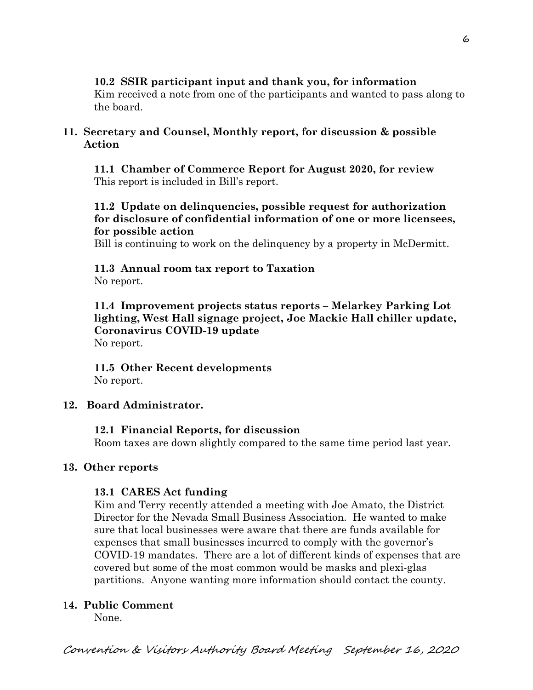## **10.2 SSIR participant input and thank you, for information**

Kim received a note from one of the participants and wanted to pass along to the board.

#### **11. Secretary and Counsel, Monthly report, for discussion & possible Action**

 **11.1 Chamber of Commerce Report for August 2020, for review** This report is included in Bill's report.

## **11.2 Update on delinquencies, possible request for authorization for disclosure of confidential information of one or more licensees, for possible action**

Bill is continuing to work on the delinquency by a property in McDermitt.

# **11.3 Annual room tax report to Taxation**

No report.

**11.4 Improvement projects status reports – Melarkey Parking Lot lighting, West Hall signage project, Joe Mackie Hall chiller update, Coronavirus COVID-19 update** No report.

**11.5 Other Recent developments** No report.

## **12. Board Administrator.**

## **12.1 Financial Reports, for discussion**

Room taxes are down slightly compared to the same time period last year.

#### **13. Other reports**

## **13.1 CARES Act funding**

Kim and Terry recently attended a meeting with Joe Amato, the District Director for the Nevada Small Business Association. He wanted to make sure that local businesses were aware that there are funds available for expenses that small businesses incurred to comply with the governor's COVID-19 mandates. There are a lot of different kinds of expenses that are covered but some of the most common would be masks and plexi-glas partitions. Anyone wanting more information should contact the county.

## 1**4. Public Comment**

None.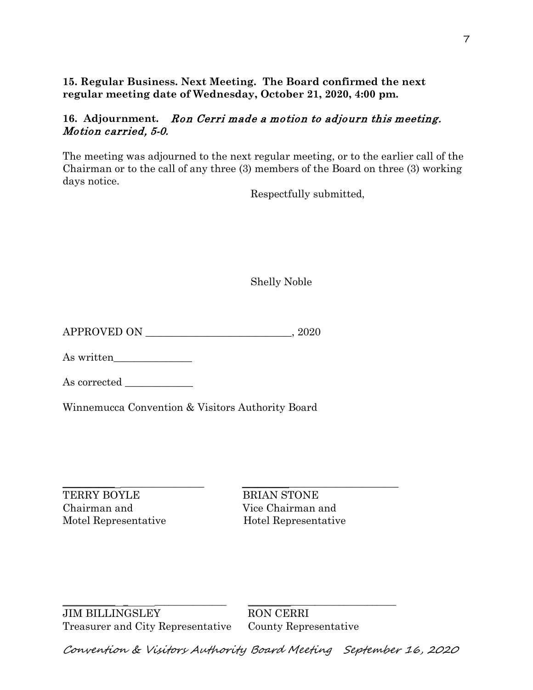**15. Regular Business. Next Meeting. The Board confirmed the next regular meeting date of Wednesday, October 21, 2020, 4:00 pm.** 

#### **16. Adjournment.** Ron Cerri made a motion to adjourn this meeting. Motion carried, 5-0.

The meeting was adjourned to the next regular meeting, or to the earlier call of the Chairman or to the call of any three (3) members of the Board on three (3) working days notice.

Respectfully submitted,

Shelly Noble

APPROVED ON \_\_\_\_\_\_\_\_\_\_\_\_\_\_\_\_\_\_\_\_\_\_\_\_\_\_\_\_, 2020

As written

As corrected \_\_\_\_\_\_\_\_\_\_\_\_\_

Winnemucca Convention & Visitors Authority Board

 $\frac{1}{2}$  ,  $\frac{1}{2}$  ,  $\frac{1}{2}$  ,  $\frac{1}{2}$  ,  $\frac{1}{2}$  ,  $\frac{1}{2}$  ,  $\frac{1}{2}$  ,  $\frac{1}{2}$  ,  $\frac{1}{2}$  ,  $\frac{1}{2}$  ,  $\frac{1}{2}$  ,  $\frac{1}{2}$  ,  $\frac{1}{2}$  ,  $\frac{1}{2}$  ,  $\frac{1}{2}$  ,  $\frac{1}{2}$  ,  $\frac{1}{2}$  ,  $\frac{1}{2}$  ,  $\frac{1$ TERRY BOYLE BRIAN STONE Chairman and Vice Chairman and

Motel Representative Hotel Representative

\_\_\_\_\_\_\_\_\_\_\_ \_ \_\_\_\_\_\_\_\_\_\_\_\_\_\_\_ \_\_\_\_\_\_\_\_\_\_\_\_\_\_\_\_\_\_\_\_\_\_\_\_\_\_\_\_\_\_\_ JIM BILLINGSLEY RON CERRI Treasurer and City Representative County Representative

Convention & Visitors Authority Board Meeting September 16, 2020